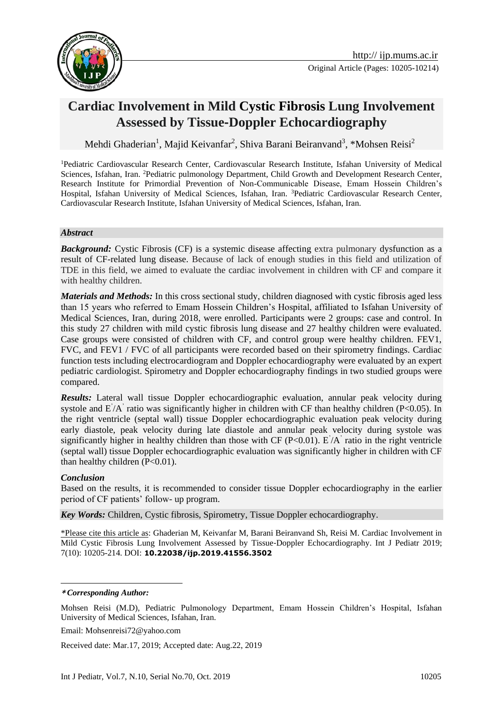

# **Cardiac Involvement in Mild Cystic Fibrosis Lung Involvement Assessed by Tissue**‐**Doppler Echocardiography**

Mehdi Ghaderian<sup>1</sup>, Majid Keivanfar<sup>2</sup>, Shiva Barani Beiranvand<sup>3</sup>, \*Mohsen Reisi<sup>2</sup>

<sup>1</sup>Pediatric Cardiovascular Research Center, Cardiovascular Research Institute, Isfahan University of Medical Sciences, Isfahan, Iran. <sup>2</sup>Pediatric pulmonology Department, Child Growth and Development Research Center, Research Institute for Primordial Prevention of Non-Communicable Disease, Emam Hossein Children's Hospital, Isfahan University of Medical Sciences, Isfahan, Iran. <sup>3</sup>Pediatric Cardiovascular Research Center, Cardiovascular Research Institute, Isfahan University of Medical Sciences, Isfahan, Iran.

#### *Abstract*

**Background:** Cystic Fibrosis (CF) is a systemic disease affecting extra pulmonary dysfunction as a result of CF-related lung disease. Because of lack of enough studies in this field and utilization of TDE in this field, we aimed to evaluate the cardiac involvement in children with CF and compare it with healthy children.

*Materials and Methods:* In this cross sectional study, children diagnosed with cystic fibrosis aged less than 15 years who referred to Emam Hossein Children's Hospital, affiliated to Isfahan University of Medical Sciences, Iran, during 2018, were enrolled. Participants were 2 groups: case and control. In this study 27 children with mild cystic fibrosis lung disease and 27 healthy children were evaluated. Case groups were consisted of children with CF, and control group were healthy children. FEV1, FVC, and FEV1 / FVC of all participants were recorded based on their spirometry findings. Cardiac function tests including electrocardiogram and Doppler echocardiography were evaluated by an expert pediatric cardiologist. Spirometry and Doppler echocardiography findings in two studied groups were compared.

*Results:* Lateral wall tissue Doppler echocardiographic evaluation, annular peak velocity during systole and E<sup>'</sup>/A<sup>'</sup> ratio was significantly higher in children with CF than healthy children (P<0.05). In the right ventricle (septal wall) tissue Doppler echocardiographic evaluation peak velocity during early diastole, peak velocity during late diastole and annular peak velocity during systole was significantly higher in healthy children than those with CF ( $P<0.01$ ). E'/A' ratio in the right ventricle (septal wall) tissue Doppler echocardiographic evaluation was significantly higher in children with CF than healthy children (P<0.01).

#### *Conclusion*

1

Based on the results, it is recommended to consider tissue Doppler echocardiography in the earlier period of CF patients' follow- up program.

*Key Words:* Children, Cystic fibrosis, Spirometry, Tissue Doppler echocardiography.

\*Please cite this article as: Ghaderian M, Keivanfar M, Barani Beiranvand Sh, Reisi M. Cardiac Involvement in Mild Cystic Fibrosis Lung Involvement Assessed by Tissue‐Doppler Echocardiography. Int J Pediatr 2019; 7(10): 10205-214. DOI: **10.22038/ijp.2019.41556.3502**

Email: Mohsenreisi72@yahoo.com

Received date: Mar.17, 2019; Accepted date: Aug.22, 2019

**<sup>\*</sup>** *Corresponding Author:*

Mohsen Reisi (M.D), Pediatric Pulmonology Department, Emam Hossein Children's Hospital, Isfahan University of Medical Sciences, Isfahan, Iran.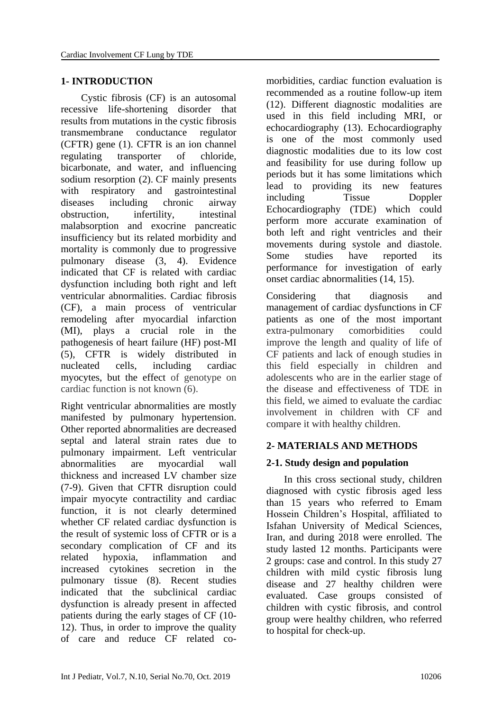#### **1- INTRODUCTION**

 Cystic fibrosis (CF) is an autosomal recessive life-shortening disorder that results from mutations in the cystic fibrosis transmembrane conductance regulator (CFTR) gene (1). CFTR is an ion channel regulating transporter of chloride, bicarbonate, and water, and influencing sodium resorption (2). CF mainly presents with respiratory and gastrointestinal diseases including chronic airway obstruction, infertility, intestinal malabsorption and exocrine pancreatic insufficiency but its related morbidity and mortality is commonly due to progressive pulmonary disease (3, 4). Evidence indicated that CF is related with cardiac dysfunction including both right and left ventricular abnormalities. Cardiac fibrosis (CF), a main process of ventricular remodeling after myocardial infarction (MI), plays a crucial role in the pathogenesis of heart failure (HF) post-MI (5), CFTR is widely distributed in nucleated cells, including cardiac myocytes, but the effect of genotype on cardiac function is not known (6).

Right ventricular abnormalities are mostly manifested by pulmonary hypertension. Other reported abnormalities are decreased septal and lateral strain rates due to pulmonary impairment. Left ventricular abnormalities are myocardial wall thickness and increased LV chamber size (7-9). Given that CFTR disruption could impair myocyte contractility and cardiac function, it is not clearly determined whether CF related cardiac dysfunction is the result of systemic loss of CFTR or is a secondary complication of CF and its related hypoxia, inflammation and increased cytokines secretion in the pulmonary tissue (8). Recent studies indicated that the subclinical cardiac dysfunction is already present in affected patients during the early stages of CF (10- 12). Thus, in order to improve the quality of care and reduce CF related comorbidities, cardiac function evaluation is recommended as a routine follow-up item (12). Different diagnostic modalities are used in this field including MRI, or echocardiography (13). Echocardiography is one of the most commonly used diagnostic modalities due to its low cost and feasibility for use during follow up periods but it has some limitations which lead to providing its new features including Tissue Doppler Echocardiography (TDE) which could perform more accurate examination of both left and right ventricles and their movements during systole and diastole. Some studies have reported its performance for investigation of early onset cardiac abnormalities (14, 15).

Considering that diagnosis and management of cardiac dysfunctions in CF patients as one of the most important extra-pulmonary comorbidities could improve the length and quality of life of CF patients and lack of enough studies in this field especially in children and adolescents who are in the earlier stage of the disease and effectiveness of TDE in this field, we aimed to evaluate the cardiac involvement in children with CF and compare it with healthy children.

## **2- MATERIALS AND METHODS**

## **2-1. Study design and population**

 In this cross sectional study, children diagnosed with cystic fibrosis aged less than 15 years who referred to Emam Hossein Children's Hospital, affiliated to Isfahan University of Medical Sciences, Iran, and during 2018 were enrolled. The study lasted 12 months. Participants were 2 groups: case and control. In this study 27 children with mild cystic fibrosis lung disease and 27 healthy children were evaluated. Case groups consisted of children with cystic fibrosis, and control group were healthy children, who referred to hospital for check-up.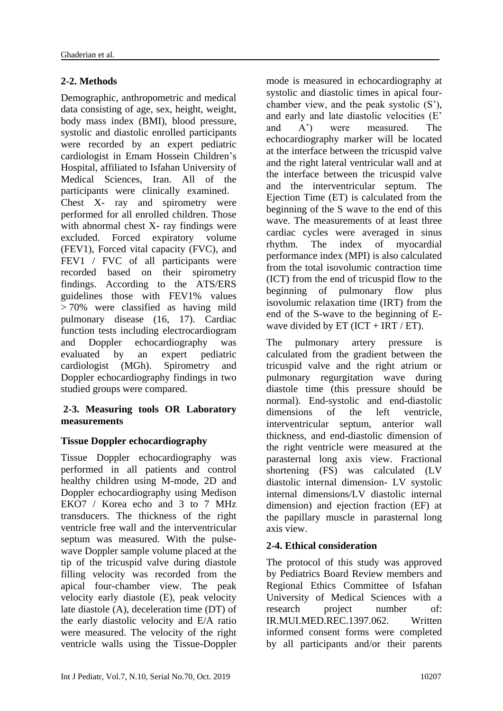## **2-2. Methods**

Demographic, anthropometric and medical data consisting of age, sex, height, weight, body mass index (BMI), blood pressure, systolic and diastolic enrolled participants were recorded by an expert pediatric cardiologist in Emam Hossein Children's Hospital, affiliated to Isfahan University of Medical Sciences, Iran. All of the participants were clinically examined. Chest X- ray and spirometry were performed for all enrolled children. Those with abnormal chest X- ray findings were excluded. Forced expiratory volume (FEV1), Forced vital capacity (FVC), and FEV1 / FVC of all participants were recorded based on their spirometry findings. According to the ATS/ERS guidelines those with FEV1% values > 70% were classified as having mild pulmonary disease (16, 17). Cardiac function tests including electrocardiogram and Doppler echocardiography was evaluated by an expert pediatric cardiologist (MGh). Spirometry and Doppler echocardiography findings in two studied groups were compared.

#### **2-3. Measuring tools OR Laboratory measurements**

## **Tissue Doppler echocardiography**

Tissue Doppler echocardiography was performed in all patients and control healthy children using M-mode, 2D and Doppler echocardiography using Medison EKO7 / Korea echo and 3 to 7 MHz transducers. The thickness of the right ventricle free wall and the interventricular septum was measured. With the pulsewave Doppler sample volume placed at the tip of the tricuspid valve during diastole filling velocity was recorded from the apical four-chamber view. The peak velocity early diastole (E), peak velocity late diastole (A), deceleration time (DT) of the early diastolic velocity and E/A ratio were measured. The velocity of the right ventricle walls using the Tissue-Doppler mode is measured in echocardiography at systolic and diastolic times in apical fourchamber view, and the peak systolic (S'), and early and late diastolic velocities (E' and A') were measured. The echocardiography marker will be located at the interface between the tricuspid valve and the right lateral ventricular wall and at the interface between the tricuspid valve and the interventricular septum. The Ejection Time (ET) is calculated from the beginning of the S wave to the end of this wave. The measurements of at least three cardiac cycles were averaged in sinus rhythm. The index of myocardial performance index (MPI) is also calculated from the total isovolumic contraction time (ICT) from the end of tricuspid flow to the beginning of pulmonary flow plus isovolumic relaxation time (IRT) from the end of the S-wave to the beginning of Ewave divided by  $ET$  (ICT + IRT / ET).

The pulmonary artery pressure is calculated from the gradient between the tricuspid valve and the right atrium or pulmonary regurgitation wave during diastole time (this pressure should be normal). End-systolic and end-diastolic dimensions of the left ventricle, interventricular septum, anterior wall thickness, and end-diastolic dimension of the right ventricle were measured at the parasternal long axis view. Fractional shortening (FS) was calculated (LV diastolic internal dimension- LV systolic internal dimensions/LV diastolic internal dimension) and ejection fraction (EF) at the papillary muscle in parasternal long axis view.

## **2-4. Ethical consideration**

The protocol of this study was approved by Pediatrics Board Review members and Regional Ethics Committee of Isfahan University of Medical Sciences with a research project number of: IR.MUI.MED.REC.1397.062. Written informed consent forms were completed by all participants and/or their parents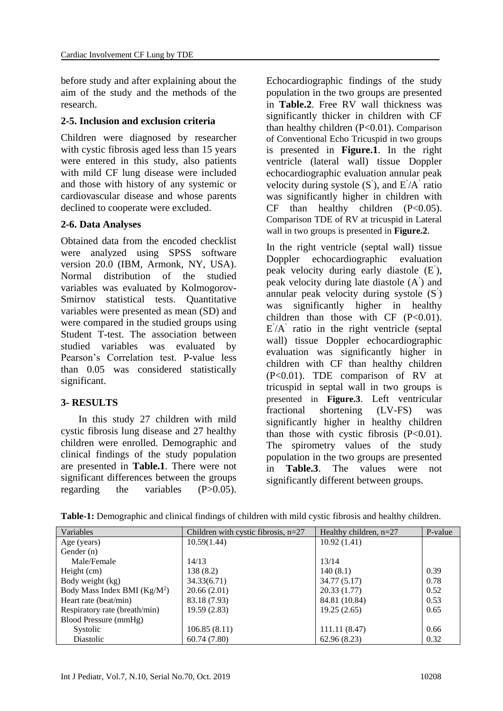before study and after explaining about the aim of the study and the methods of the research.

#### **2-5. Inclusion and exclusion criteria**

Children were diagnosed by researcher with cystic fibrosis aged less than 15 years were entered in this study, also patients with mild CF lung disease were included and those with history of any systemic or cardiovascular disease and whose parents declined to cooperate were excluded.

#### **2-6. Data Analyses**

Obtained data from the encoded checklist were analyzed using SPSS software version 20.0 (IBM, Armonk, NY, USA). Normal distribution of the studied variables was evaluated by Kolmogorov-Smirnov statistical tests. Quantitative variables were presented as mean (SD) and were compared in the studied groups using Student T-test. The association between studied variables was evaluated by Pearson's Correlation test. P-value less than 0.05 was considered statistically significant.

#### **3- RESULTS**

 In this study 27 children with mild cystic fibrosis lung disease and 27 healthy children were enrolled. Demographic and clinical findings of the study population are presented in **Table.1**. There were not significant differences between the groups regarding the variables (P>0.05).

Echocardiographic findings of the study population in the two groups are presented in **Table.2**. Free RV wall thickness was significantly thicker in children with CF than healthy children (P<0.01). Comparison of Conventional Echo Tricuspid in two groups is presented in **Figure.1**. In the right ventricle (lateral wall) tissue Doppler echocardiographic evaluation annular peak velocity during systole  $(S')$ , and  $E'/A'$  ratio was significantly higher in children with  $CF$  than healthy children  $(P<0.05)$ . Comparison TDE of RV at tricuspid in Lateral wall in two groups is presented in **Figure.2**.

In the right ventricle (septal wall) tissue Doppler echocardiographic evaluation peak velocity during early diastole (E' ), peak velocity during late diastole (A' ) and annular peak velocity during systole (S' ) was significantly higher in healthy children than those with  $CF (P<0.01)$ .  $E/A'$  ratio in the right ventricle (septal wall) tissue Doppler echocardiographic evaluation was significantly higher in children with CF than healthy children (P<0.01). TDE comparison of RV at tricuspid in septal wall in two groups is presented in **Figure.3**. Left ventricular fractional shortening (LV-FS) was significantly higher in healthy children than those with cystic fibrosis  $(P<0.01)$ . The spirometry values of the study population in the two groups are presented in **Table.3**. The values were not significantly different between groups.

| Variables                      | Children with cystic fibrosis, $n=27$ | Healthy children, $n=27$ | P-value |
|--------------------------------|---------------------------------------|--------------------------|---------|
| Age (years)                    | 10.59(1.44)                           | 10.92(1.41)              |         |
| Gender $(n)$                   |                                       |                          |         |
| Male/Female                    | 14/13                                 | 13/14                    |         |
| Height (cm)                    | 138 (8.2)                             | 140(8.1)                 | 0.39    |
| Body weight (kg)               | 34.33(6.71)                           | 34.77 (5.17)             | 0.78    |
| Body Mass Index BMI $(Kg/M^2)$ | 20.66 (2.01)                          | 20.33(1.77)              | 0.52    |
| Heart rate (beat/min)          | 83.18 (7.93)                          | 84.81 (10.84)            | 0.53    |
| Respiratory rate (breath/min)  | 19.59(2.83)                           | 19.25(2.65)              | 0.65    |
| Blood Pressure (mmHg)          |                                       |                          |         |
| Systolic                       | 106.85(8.11)                          | 111.11 (8.47)            | 0.66    |
| Diastolic                      | 60.74(7.80)                           | 62.96(8.23)              | 0.32    |

**Table-1:** Demographic and clinical findings of children with mild cystic fibrosis and healthy children.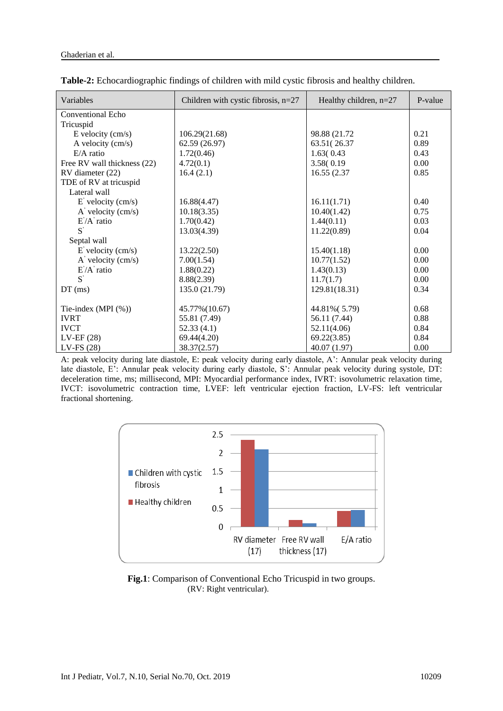| Variables                            | Children with cystic fibrosis, $n=27$ | Healthy children, $n=27$ | P-value |
|--------------------------------------|---------------------------------------|--------------------------|---------|
| Conventional Echo                    |                                       |                          |         |
| Tricuspid                            |                                       |                          |         |
| $E$ velocity (cm/s)                  | 106.29(21.68)                         | 98.88 (21.72)            | 0.21    |
| A velocity (cm/s)                    | 62.59 (26.97)                         | 63.51(26.37)             | 0.89    |
| $E/A$ ratio                          | 1.72(0.46)                            | 1.63(0.43)               | 0.43    |
| Free RV wall thickness (22)          | 4.72(0.1)                             | 3.58(0.19)               | 0.00    |
| RV diameter (22)                     | 16.4(2.1)                             | 16.55 (2.37)             | 0.85    |
| TDE of RV at tricuspid               |                                       |                          |         |
| Lateral wall                         |                                       |                          |         |
| $E'$ velocity (cm/s)                 | 16.88(4.47)                           | 16.11(1.71)              | 0.40    |
| $A'$ velocity (cm/s)                 | 10.18(3.35)                           | 10.40(1.42)              | 0.75    |
| $E'A'$ ratio                         | 1.70(0.42)                            | 1.44(0.11)               | 0.03    |
| $S^{'}$                              | 13.03(4.39)                           | 11.22(0.89)              | 0.04    |
| Septal wall                          |                                       |                          |         |
| $E'$ velocity (cm/s)                 | 13.22(2.50)                           | 15.40(1.18)              | 0.00    |
| $\overrightarrow{A}$ velocity (cm/s) | 7.00(1.54)                            | 10.77(1.52)              | 0.00    |
| $E^{\prime}/A^{\prime}$ ratio        | 1.88(0.22)                            | 1.43(0.13)               | 0.00    |
| $S^{'}$                              | 8.88(2.39)                            | 11.7(1.7)                | 0.00    |
| $DT$ (ms)                            | 135.0 (21.79)                         | 129.81(18.31)            | 0.34    |
|                                      |                                       |                          |         |
| Tie-index (MPI $(\%)$ )              | 45.77% (10.67)                        | 44.81% (5.79)            | 0.68    |
| <b>IVRT</b>                          | 55.81 (7.49)                          | 56.11 (7.44)             | 0.88    |
| <b>IVCT</b>                          | 52.33(4.1)                            | 52.11(4.06)              | 0.84    |
| $LV-EF(28)$                          | 69.44(4.20)                           | 69.22(3.85)              | 0.84    |
| $LV$ -FS $(28)$                      | 38.37(2.57)                           | 40.07 (1.97)             | 0.00    |

|  |  |  | Table-2: Echocardiographic findings of children with mild cystic fibrosis and healthy children. |
|--|--|--|-------------------------------------------------------------------------------------------------|
|  |  |  |                                                                                                 |

A: peak velocity during late diastole, E: peak velocity during early diastole, A': Annular peak velocity during late diastole, E': Annular peak velocity during early diastole, S': Annular peak velocity during systole, DT: deceleration time, ms; millisecond, MPI: Myocardial performance index, IVRT: isovolumetric relaxation time, IVCT: isovolumetric contraction time, LVEF: left ventricular ejection fraction, LV-FS: left ventricular fractional shortening.



**Fig.1**: Comparison of Conventional Echo Tricuspid in two groups. (RV: Right ventricular).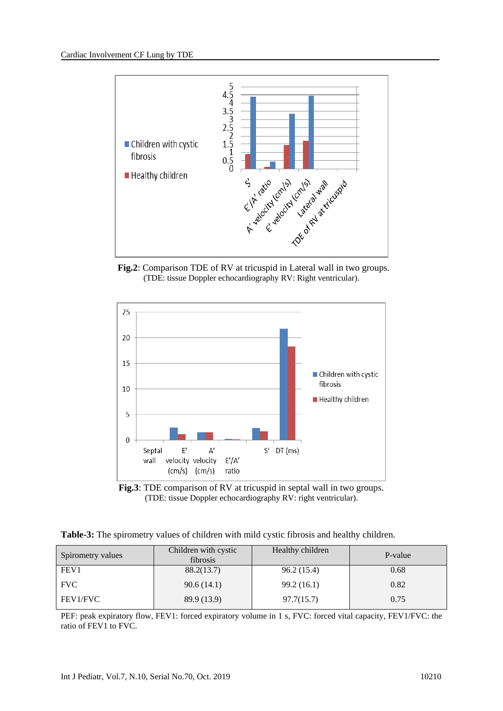

 **Fig.2**: Comparison TDE of RV at tricuspid in Lateral wall in two groups. (TDE: tissue Doppler echocardiography RV: Right ventricular).





**Table-3:** The spirometry values of children with mild cystic fibrosis and healthy children.

| Spirometry values | Children with cystic<br>fibrosis | Healthy children | P-value |
|-------------------|----------------------------------|------------------|---------|
| FEV1              | 88.2(13.7)                       | 96.2(15.4)       | 0.68    |
| <b>FVC</b>        | 90.6(14.1)                       | 99.2(16.1)       | 0.82    |
| FEV1/FVC          | 89.9 (13.9)                      | 97.7(15.7)       | 0.75    |

PEF: peak expiratory flow, FEV1: forced expiratory volume in 1 s, FVC: forced vital capacity, FEV1/FVC: the ratio of FEV1 to FVC.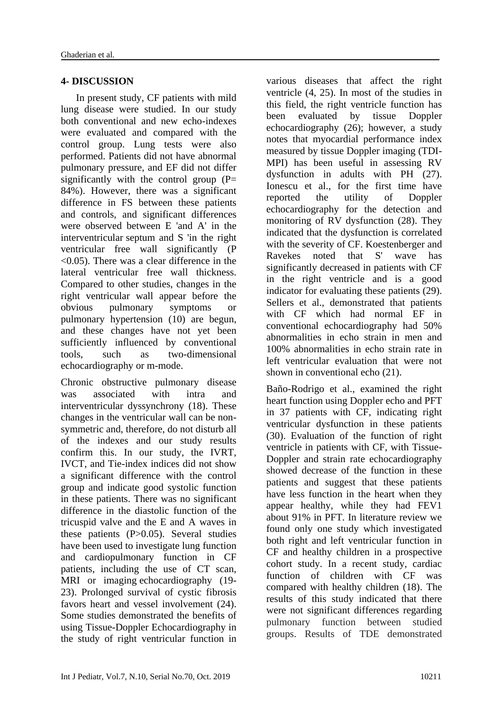#### **4- DISCUSSION**

 In present study, CF patients with mild lung disease were studied. In our study both conventional and new echo-indexes were evaluated and compared with the control group. Lung tests were also performed. Patients did not have abnormal pulmonary pressure, and EF did not differ significantly with the control group  $(P=$ 84%). However, there was a significant difference in FS between these patients and controls, and significant differences were observed between E 'and A' in the interventricular septum and S 'in the right ventricular free wall significantly (P  $\leq$  0.05). There was a clear difference in the lateral ventricular free wall thickness. Compared to other studies, changes in the right ventricular wall appear before the obvious pulmonary symptoms or pulmonary hypertension (10) are begun, and these changes have not yet been sufficiently influenced by conventional tools, such as two-dimensional echocardiography or m-mode.

Chronic obstructive pulmonary disease was associated with intra and interventricular dyssynchrony (18). These changes in the ventricular wall can be nonsymmetric and, therefore, do not disturb all of the indexes and our study results confirm this. In our study, the IVRT, IVCT, and Tie-index indices did not show a significant difference with the control group and indicate good systolic function in these patients. There was no significant difference in the diastolic function of the tricuspid valve and the E and A waves in these patients  $(P>0.05)$ . Several studies have been used to investigate lung function and cardiopulmonary function in CF patients, including the use of CT scan, MRI or imaging echocardiography (19- 23). Prolonged survival of cystic fibrosis favors heart and vessel involvement (24). Some studies demonstrated the benefits of using Tissue-Doppler Echocardiography in the study of right ventricular function in

various diseases that affect the right ventricle (4, 25). In most of the studies in this field, the right ventricle function has been evaluated by tissue Doppler echocardiography (26); however, a study notes that myocardial performance index measured by tissue Doppler imaging (TDI-MPI) has been useful in assessing RV dysfunction in adults with PH (27). [Ionescu](https://www.ncbi.nlm.nih.gov/pubmed/?term=Ionescu%20AA%5BAuthor%5D&cauthor=true&cauthor_uid=11316661) et al., for the first time have reported the utility of Doppler echocardiography for the detection and monitoring of RV dysfunction (28). They indicated that the dysfunction is correlated with the severity of CF. Koestenberger and Ravekes noted that S' wave has significantly decreased in patients with CF in the right ventricle and is a good indicator for evaluating these patients (29). Sellers et al., demonstrated that patients with CF which had normal EF in conventional echocardiography had 50% abnormalities in echo strain in men and 100% abnormalities in echo strain rate in left ventricular evaluation that were not shown in conventional echo (21).

Baño-Rodrigo et al., examined the right heart function using Doppler echo and PFT in 37 patients with CF, indicating right ventricular dysfunction in these patients (30). Evaluation of the function of right ventricle in patients with CF, with Tissue-Doppler and strain rate echocardiography showed decrease of the function in these patients and suggest that these patients have less function in the heart when they appear healthy, while they had FEV1 about 91% in PFT. In literature review we found only one study which investigated both right and left ventricular function in CF and healthy children in a prospective cohort study. In a recent study, cardiac function of children with CF was compared with healthy children (18). The results of this study indicated that there were not significant differences regarding pulmonary function between studied groups. Results of TDE demonstrated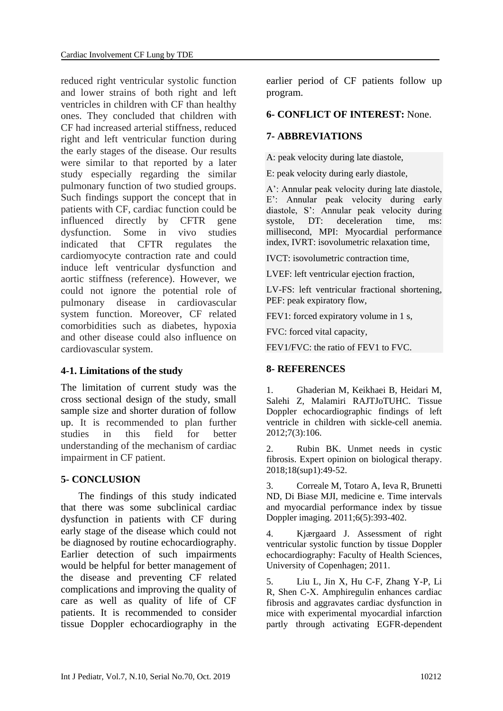reduced right ventricular systolic function and lower strains of both right and left ventricles in children with CF than healthy ones. They concluded that children with CF had increased arterial stiffness, reduced right and left ventricular function during the early stages of the disease. Our results were similar to that reported by a later study especially regarding the similar pulmonary function of two studied groups. Such findings support the concept that in patients with CF, cardiac function could be influenced directly by CFTR gene dysfunction. Some in vivo studies indicated that CFTR regulates the cardiomyocyte contraction rate and could induce left ventricular dysfunction and aortic stiffness (reference). However, we could not ignore the potential role of pulmonary disease in cardiovascular system function. Moreover, CF related comorbidities such as diabetes, hypoxia and other disease could also influence on cardiovascular system.

#### **4-1. Limitations of the study**

The limitation of current study was the cross sectional design of the study, small sample size and shorter duration of follow up. It is recommended to plan further studies in this field for better understanding of the mechanism of cardiac impairment in CF patient.

#### **5- CONCLUSION**

 The findings of this study indicated that there was some subclinical cardiac dysfunction in patients with CF during early stage of the disease which could not be diagnosed by routine echocardiography. Earlier detection of such impairments would be helpful for better management of the disease and preventing CF related complications and improving the quality of care as well as quality of life of CF patients. It is recommended to consider tissue Doppler echocardiography in the

earlier period of CF patients follow up program.

#### **6- CONFLICT OF INTEREST:** None.

#### **7- ABBREVIATIONS**

A: peak velocity during late diastole,

E: peak velocity during early diastole,

A': Annular peak velocity during late diastole, E': Annular peak velocity during early diastole, S': Annular peak velocity during systole. DT: deceleration time, ms: millisecond, MPI: Myocardial performance index, IVRT: isovolumetric relaxation time,

IVCT: isovolumetric contraction time,

LVEF: left ventricular ejection fraction,

LV-FS: left ventricular fractional shortening, PEF: peak expiratory flow,

FEV1: forced expiratory volume in 1 s,

FVC: forced vital capacity,

FEV1/FVC: the ratio of FEV1 to FVC.

#### **8- REFERENCES**

1. Ghaderian M, Keikhaei B, Heidari M, Salehi Z, Malamiri RAJTJoTUHC. Tissue Doppler echocardiographic findings of left ventricle in children with sickle-cell anemia. 2012;7(3):106.

2. Rubin BK. Unmet needs in cystic fibrosis. Expert opinion on biological therapy. 2018;18(sup1):49-52.

3. Correale M, Totaro A, Ieva R, Brunetti ND, Di Biase MJI, medicine e. Time intervals and myocardial performance index by tissue Doppler imaging. 2011;6(5):393-402.

4. Kjærgaard J. Assessment of right ventricular systolic function by tissue Doppler echocardiography: Faculty of Health Sciences, University of Copenhagen; 2011.

5. Liu L, Jin X, Hu C-F, Zhang Y-P, Li R, Shen C-X. Amphiregulin enhances cardiac fibrosis and aggravates cardiac dysfunction in mice with experimental myocardial infarction partly through activating EGFR-dependent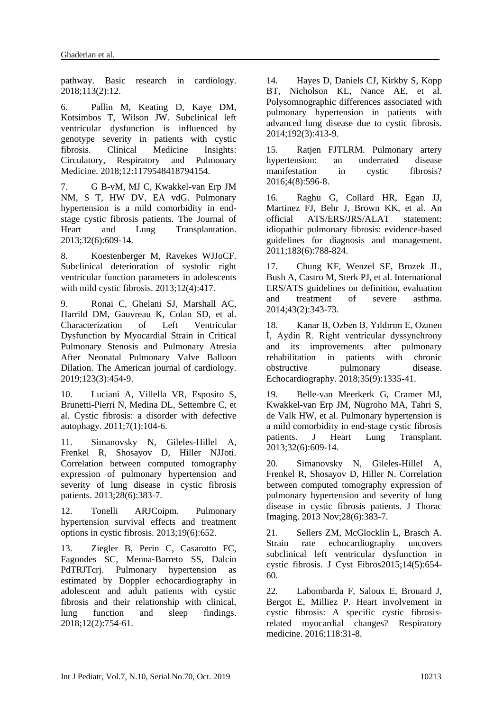pathway. Basic research in cardiology. 2018;113(2):12.

6. Pallin M, Keating D, Kaye DM, Kotsimbos T, Wilson JW. Subclinical left ventricular dysfunction is influenced by genotype severity in patients with cystic fibrosis. Clinical Medicine Insights: Circulatory, Respiratory and Pulmonary Medicine. 2018;12:1179548418794154.

7. G B-vM, MJ C, Kwakkel-van Erp JM NM, S T, HW DV, EA vdG. Pulmonary hypertension is a mild comorbidity in endstage cystic fibrosis patients. The Journal of Heart and Lung Transplantation. 2013;32(6):609-14.

8. Koestenberger M, Ravekes WJJoCF. Subclinical deterioration of systolic right ventricular function parameters in adolescents with mild cystic fibrosis. 2013;12(4):417.

9. Ronai C, Ghelani SJ, Marshall AC, Harrild DM, Gauvreau K, Colan SD, et al. Characterization of Left Ventricular Dysfunction by Myocardial Strain in Critical Pulmonary Stenosis and Pulmonary Atresia After Neonatal Pulmonary Valve Balloon Dilation. The American journal of cardiology. 2019;123(3):454-9.

10. Luciani A, Villella VR, Esposito S, Brunetti-Pierri N, Medina DL, Settembre C, et al. Cystic fibrosis: a disorder with defective autophagy. 2011;7(1):104-6.

11. Simanovsky N, Gileles-Hillel A, Frenkel R, Shosayov D, Hiller NJJoti. Correlation between computed tomography expression of pulmonary hypertension and severity of lung disease in cystic fibrosis patients. 2013;28(6):383-7.

12. Tonelli ARJCoipm. Pulmonary hypertension survival effects and treatment options in cystic fibrosis. 2013;19(6):652.

13. Ziegler B, Perin C, Casarotto FC, Fagondes SC, Menna‐Barreto SS, Dalcin PdTRJTcrj. Pulmonary hypertension as estimated by Doppler echocardiography in adolescent and adult patients with cystic fibrosis and their relationship with clinical, lung function and sleep findings. 2018;12(2):754-61.

14. Hayes D, Daniels CJ, Kirkby S, Kopp BT, Nicholson KL, Nance AE, et al. Polysomnographic differences associated with pulmonary hypertension in patients with advanced lung disease due to cystic fibrosis. 2014;192(3):413-9.

15. Ratjen FJTLRM. Pulmonary artery hypertension: an underrated disease manifestation in cystic fibrosis? 2016;4(8):596-8.

16. Raghu G, Collard HR, Egan JJ, Martinez FJ, Behr J, Brown KK, et al. An official ATS/ERS/JRS/ALAT statement: idiopathic pulmonary fibrosis: evidence-based guidelines for diagnosis and management. 2011;183(6):788-824.

17. Chung KF, Wenzel SE, Brozek JL, Bush A, Castro M, Sterk PJ, et al. International ERS/ATS guidelines on definition, evaluation and treatment of severe asthma. 2014;43(2):343-73.

18. Kanar B, Ozben B, Yıldırım E, Ozmen İ, Aydin R. Right ventricular dyssynchrony and its improvements after pulmonary rehabilitation in patients with chronic obstructive pulmonary disease. Echocardiography. 2018;35(9):1335-41.

19. Belle-van Meerkerk G, Cramer MJ, Kwakkel-van Erp JM, Nugroho MA, Tahri S, de Valk HW, et al. Pulmonary hypertension is a mild comorbidity in end-stage cystic fibrosis patients. J Heart Lung Transplant. 2013;32(6):609-14.

20. Simanovsky N, Gileles-Hillel A, Frenkel R, Shosayov D, Hiller N. Correlation between computed tomography expression of pulmonary hypertension and severity of lung disease in cystic fibrosis patients. J Thorac Imaging. 2013 Nov;28(6):383-7.

21. Sellers ZM, McGlocklin L, Brasch A. Strain rate echocardiography uncovers subclinical left ventricular dysfunction in cystic fibrosis. J Cyst Fibros2015;14(5):654- 60.

22. Labombarda F, Saloux E, Brouard J, Bergot E, Milliez P. Heart involvement in cystic fibrosis: A specific cystic fibrosisrelated myocardial changes? Respiratory medicine. 2016;118:31-8.